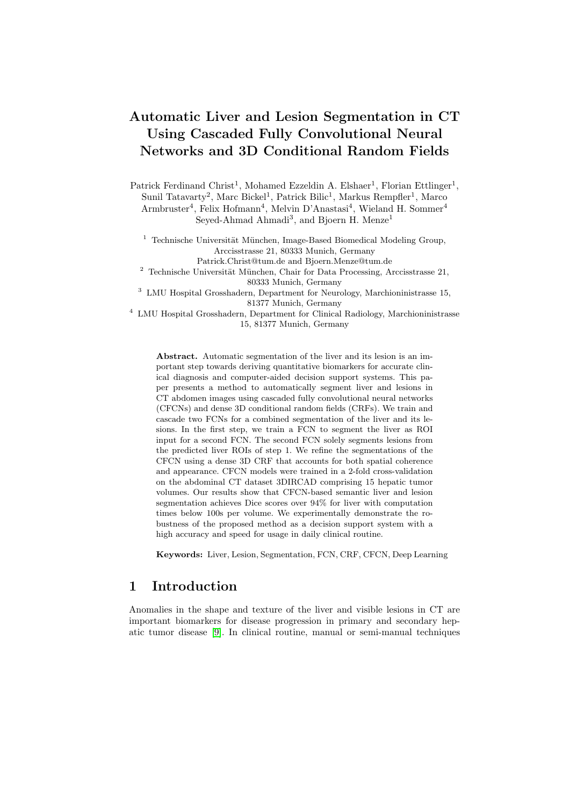# Automatic Liver and Lesion Segmentation in CT Using Cascaded Fully Convolutional Neural Networks and 3D Conditional Random Fields

Patrick Ferdinand Christ<sup>1</sup>, Mohamed Ezzeldin A. Elshaer<sup>1</sup>, Florian Ettlinger<sup>1</sup>, Sunil Tatavarty<sup>2</sup>, Marc Bickel<sup>1</sup>, Patrick Bilic<sup>1</sup>, Markus Rempfler<sup>1</sup>, Marco Armbruster<sup>4</sup>, Felix Hofmann<sup>4</sup>, Melvin D'Anastasi<sup>4</sup>, Wieland H. Sommer<sup>4</sup> Seyed-Ahmad Ahmadi<sup>3</sup>, and Bjoern H. Menze<sup>1</sup>

 $1$  Technische Universität München, Image-Based Biomedical Modeling Group, Arccisstrasse 21, 80333 Munich, Germany

Patrick.Christ@tum.de and Bjoern.Menze@tum.de

 $2$  Technische Universität München, Chair for Data Processing, Arccisstrasse 21, 80333 Munich, Germany

<sup>3</sup> LMU Hospital Grosshadern, Department for Neurology, Marchioninistrasse 15, 81377 Munich, Germany

<sup>4</sup> LMU Hospital Grosshadern, Department for Clinical Radiology, Marchioninistrasse 15, 81377 Munich, Germany

Abstract. Automatic segmentation of the liver and its lesion is an important step towards deriving quantitative biomarkers for accurate clinical diagnosis and computer-aided decision support systems. This paper presents a method to automatically segment liver and lesions in CT abdomen images using cascaded fully convolutional neural networks (CFCNs) and dense 3D conditional random fields (CRFs). We train and cascade two FCNs for a combined segmentation of the liver and its lesions. In the first step, we train a FCN to segment the liver as ROI input for a second FCN. The second FCN solely segments lesions from the predicted liver ROIs of step 1. We refine the segmentations of the CFCN using a dense 3D CRF that accounts for both spatial coherence and appearance. CFCN models were trained in a 2-fold cross-validation on the abdominal CT dataset 3DIRCAD comprising 15 hepatic tumor volumes. Our results show that CFCN-based semantic liver and lesion segmentation achieves Dice scores over 94% for liver with computation times below 100s per volume. We experimentally demonstrate the robustness of the proposed method as a decision support system with a high accuracy and speed for usage in daily clinical routine.

Keywords: Liver, Lesion, Segmentation, FCN, CRF, CFCN, Deep Learning

# 1 Introduction

Anomalies in the shape and texture of the liver and visible lesions in CT are important biomarkers for disease progression in primary and secondary hepatic tumor disease [\[9\]](#page-7-0). In clinical routine, manual or semi-manual techniques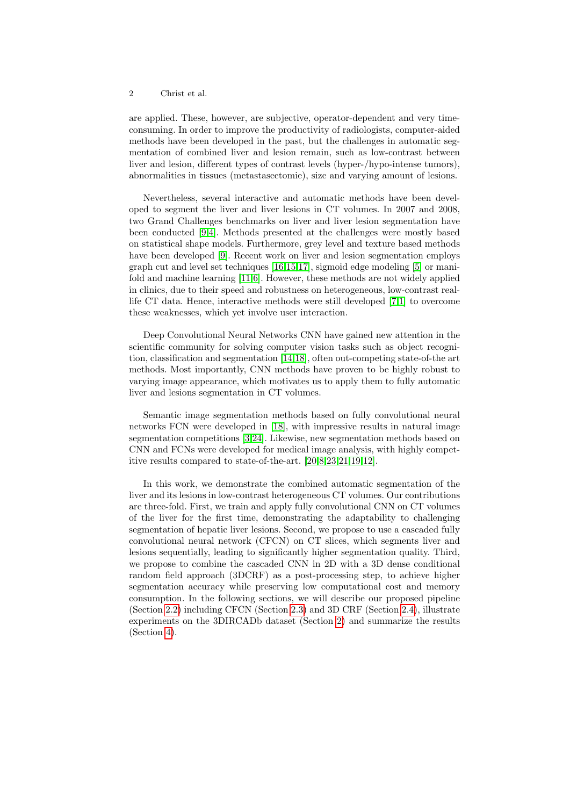#### 2 Christ et al.

are applied. These, however, are subjective, operator-dependent and very timeconsuming. In order to improve the productivity of radiologists, computer-aided methods have been developed in the past, but the challenges in automatic segmentation of combined liver and lesion remain, such as low-contrast between liver and lesion, different types of contrast levels (hyper-/hypo-intense tumors), abnormalities in tissues (metastasectomie), size and varying amount of lesions.

Nevertheless, several interactive and automatic methods have been developed to segment the liver and liver lesions in CT volumes. In 2007 and 2008, two Grand Challenges benchmarks on liver and liver lesion segmentation have been conducted [\[9](#page-7-0)[,4\]](#page-7-1). Methods presented at the challenges were mostly based on statistical shape models. Furthermore, grey level and texture based methods have been developed [\[9\]](#page-7-0). Recent work on liver and lesion segmentation employs graph cut and level set techniques [\[16,](#page-7-2)[15,](#page-7-3)[17\]](#page-7-4), sigmoid edge modeling [\[5\]](#page-7-5) or manifold and machine learning [\[11,](#page-7-6)[6\]](#page-7-7). However, these methods are not widely applied in clinics, due to their speed and robustness on heterogeneous, low-contrast reallife CT data. Hence, interactive methods were still developed [\[7,](#page-7-8)[1\]](#page-6-0) to overcome these weaknesses, which yet involve user interaction.

Deep Convolutional Neural Networks CNN have gained new attention in the scientific community for solving computer vision tasks such as object recognition, classification and segmentation [\[14,](#page-7-9)[18\]](#page-7-10), often out-competing state-of-the art methods. Most importantly, CNN methods have proven to be highly robust to varying image appearance, which motivates us to apply them to fully automatic liver and lesions segmentation in CT volumes.

Semantic image segmentation methods based on fully convolutional neural networks FCN were developed in [\[18\]](#page-7-10), with impressive results in natural image segmentation competitions [\[3,](#page-6-1)[24\]](#page-7-11). Likewise, new segmentation methods based on CNN and FCNs were developed for medical image analysis, with highly competitive results compared to state-of-the-art. [\[20,](#page-7-12)[8](#page-7-13)[,23,](#page-7-14)[21,](#page-7-15)[19,](#page-7-16)[12\]](#page-7-17).

<span id="page-1-0"></span>In this work, we demonstrate the combined automatic segmentation of the liver and its lesions in low-contrast heterogeneous CT volumes. Our contributions are three-fold. First, we train and apply fully convolutional CNN on CT volumes of the liver for the first time, demonstrating the adaptability to challenging segmentation of hepatic liver lesions. Second, we propose to use a cascaded fully convolutional neural network (CFCN) on CT slices, which segments liver and lesions sequentially, leading to significantly higher segmentation quality. Third, we propose to combine the cascaded CNN in 2D with a 3D dense conditional random field approach (3DCRF) as a post-processing step, to achieve higher segmentation accuracy while preserving low computational cost and memory consumption. In the following sections, we will describe our proposed pipeline (Section [2.2\)](#page-3-0) including CFCN (Section [2.3\)](#page-3-1) and 3D CRF (Section [2.4\)](#page-4-0), illustrate experiments on the 3DIRCADb dataset (Section [2\)](#page-1-0) and summarize the results (Section [4\)](#page-6-2).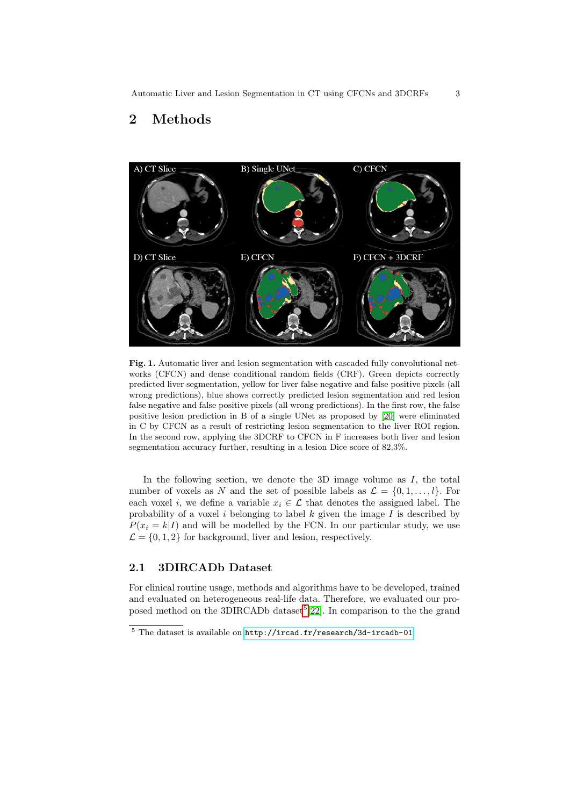## 2 Methods



<span id="page-2-1"></span>Fig. 1. Automatic liver and lesion segmentation with cascaded fully convolutional networks (CFCN) and dense conditional random fields (CRF). Green depicts correctly predicted liver segmentation, yellow for liver false negative and false positive pixels (all wrong predictions), blue shows correctly predicted lesion segmentation and red lesion false negative and false positive pixels (all wrong predictions). In the first row, the false positive lesion prediction in B of a single UNet as proposed by [\[20\]](#page-7-12) were eliminated in C by CFCN as a result of restricting lesion segmentation to the liver ROI region. In the second row, applying the 3DCRF to CFCN in F increases both liver and lesion segmentation accuracy further, resulting in a lesion Dice score of 82.3%.

In the following section, we denote the  $3D$  image volume as  $I$ , the total number of voxels as N and the set of possible labels as  $\mathcal{L} = \{0, 1, \ldots, l\}$ . For each voxel i, we define a variable  $x_i \in \mathcal{L}$  that denotes the assigned label. The probability of a voxel i belonging to label  $k$  given the image  $I$  is described by  $P(x_i = k|I)$  and will be modelled by the FCN. In our particular study, we use  $\mathcal{L} = \{0, 1, 2\}$  for background, liver and lesion, respectively.

#### 2.1 3DIRCADb Dataset

For clinical routine usage, methods and algorithms have to be developed, trained and evaluated on heterogeneous real-life data. Therefore, we evaluated our pro-posed method on the 3DIRCADb dataset<sup>[5](#page-2-0)</sup>[\[22\]](#page-7-18). In comparison to the the grand

<span id="page-2-0"></span> $5$  The dataset is available on <http://ircad.fr/research/3d-ircadb-01>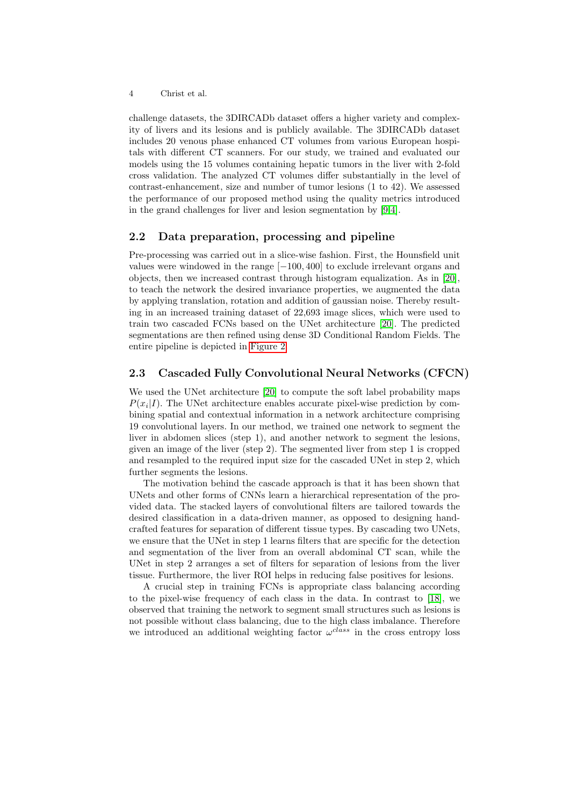4 Christ et al.

challenge datasets, the 3DIRCADb dataset offers a higher variety and complexity of livers and its lesions and is publicly available. The 3DIRCADb dataset includes 20 venous phase enhanced CT volumes from various European hospitals with different CT scanners. For our study, we trained and evaluated our models using the 15 volumes containing hepatic tumors in the liver with 2-fold cross validation. The analyzed CT volumes differ substantially in the level of contrast-enhancement, size and number of tumor lesions (1 to 42). We assessed the performance of our proposed method using the quality metrics introduced in the grand challenges for liver and lesion segmentation by [\[9](#page-7-0)[,4\]](#page-7-1).

#### <span id="page-3-0"></span>2.2 Data preparation, processing and pipeline

Pre-processing was carried out in a slice-wise fashion. First, the Hounsfield unit values were windowed in the range [−100, 400] to exclude irrelevant organs and objects, then we increased contrast through histogram equalization. As in [\[20\]](#page-7-12), to teach the network the desired invariance properties, we augmented the data by applying translation, rotation and addition of gaussian noise. Thereby resulting in an increased training dataset of 22,693 image slices, which were used to train two cascaded FCNs based on the UNet architecture [\[20\]](#page-7-12). The predicted segmentations are then refined using dense 3D Conditional Random Fields. The entire pipeline is depicted in [Figure 2.](#page-4-1)

#### <span id="page-3-1"></span>2.3 Cascaded Fully Convolutional Neural Networks (CFCN)

We used the UNet architecture [\[20\]](#page-7-12) to compute the soft label probability maps  $P(x_i|I)$ . The UNet architecture enables accurate pixel-wise prediction by combining spatial and contextual information in a network architecture comprising 19 convolutional layers. In our method, we trained one network to segment the liver in abdomen slices (step 1), and another network to segment the lesions, given an image of the liver (step 2). The segmented liver from step 1 is cropped and resampled to the required input size for the cascaded UNet in step 2, which further segments the lesions.

The motivation behind the cascade approach is that it has been shown that UNets and other forms of CNNs learn a hierarchical representation of the provided data. The stacked layers of convolutional filters are tailored towards the desired classification in a data-driven manner, as opposed to designing handcrafted features for separation of different tissue types. By cascading two UNets, we ensure that the UNet in step 1 learns filters that are specific for the detection and segmentation of the liver from an overall abdominal CT scan, while the UNet in step 2 arranges a set of filters for separation of lesions from the liver tissue. Furthermore, the liver ROI helps in reducing false positives for lesions.

A crucial step in training FCNs is appropriate class balancing according to the pixel-wise frequency of each class in the data. In contrast to [\[18\]](#page-7-10), we observed that training the network to segment small structures such as lesions is not possible without class balancing, due to the high class imbalance. Therefore we introduced an additional weighting factor  $\omega^{class}$  in the cross entropy loss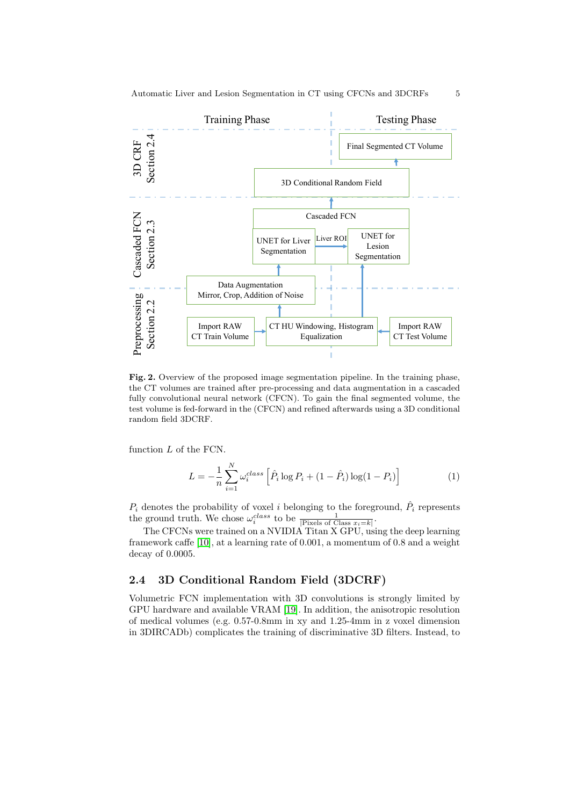

<span id="page-4-1"></span>Fig. 2. Overview of the proposed image segmentation pipeline. In the training phase, the CT volumes are trained after pre-processing and data augmentation in a cascaded fully convolutional neural network (CFCN). To gain the final segmented volume, the test volume is fed-forward in the (CFCN) and refined afterwards using a 3D conditional random field 3DCRF.

function L of the FCN.

$$
L = -\frac{1}{n} \sum_{i=1}^{N} \omega_i^{class} \left[ \hat{P}_i \log P_i + (1 - \hat{P}_i) \log(1 - P_i) \right]
$$
 (1)

 $P_i$  denotes the probability of voxel i belonging to the foreground,  $\hat{P}_i$  represents the ground truth. We chose  $\omega_i^{class}$  to be  $\frac{1}{|\text{pixels of Class }x_i=k|}.$ 

The CFCNs were trained on a NVIDIA Titan X GPU, using the deep learning framework caffe [\[10\]](#page-7-19), at a learning rate of 0.001, a momentum of 0.8 and a weight decay of 0.0005.

#### <span id="page-4-0"></span>2.4 3D Conditional Random Field (3DCRF)

Volumetric FCN implementation with 3D convolutions is strongly limited by GPU hardware and available VRAM [\[19\]](#page-7-16). In addition, the anisotropic resolution of medical volumes (e.g. 0.57-0.8mm in xy and 1.25-4mm in z voxel dimension in 3DIRCADb) complicates the training of discriminative 3D filters. Instead, to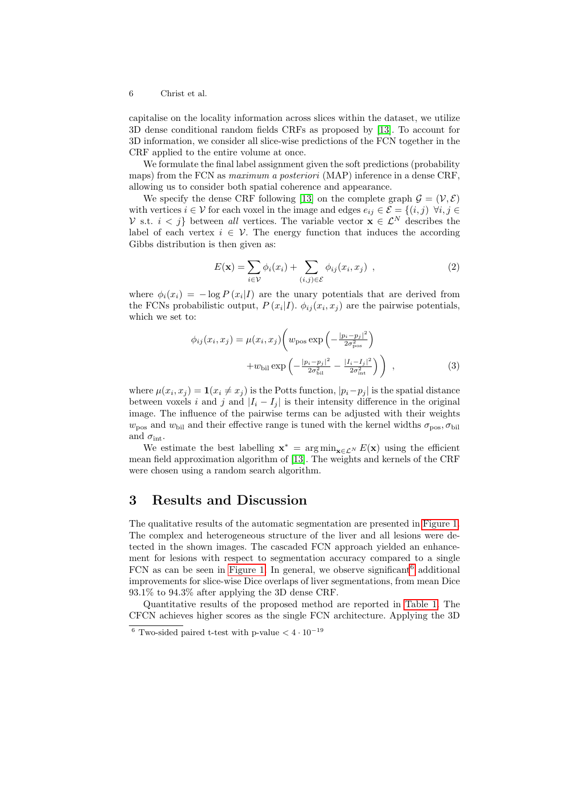6 Christ et al.

capitalise on the locality information across slices within the dataset, we utilize 3D dense conditional random fields CRFs as proposed by [\[13\]](#page-7-20). To account for 3D information, we consider all slice-wise predictions of the FCN together in the CRF applied to the entire volume at once.

We formulate the final label assignment given the soft predictions (probability maps) from the FCN as *maximum a posteriori* (MAP) inference in a dense CRF, allowing us to consider both spatial coherence and appearance.

We specify the dense CRF following [\[13\]](#page-7-20) on the complete graph  $\mathcal{G} = (\mathcal{V}, \mathcal{E})$ with vertices  $i \in \mathcal{V}$  for each voxel in the image and edges  $e_{ij} \in \mathcal{E} = \{(i, j) \; \forall i, j \in \mathcal{V}\}$ V s.t.  $i < j$  between all vertices. The variable vector  $\mathbf{x} \in \mathcal{L}^{N}$  describes the label of each vertex  $i \in V$ . The energy function that induces the according Gibbs distribution is then given as:

$$
E(\mathbf{x}) = \sum_{i \in \mathcal{V}} \phi_i(x_i) + \sum_{(i,j) \in \mathcal{E}} \phi_{ij}(x_i, x_j) , \qquad (2)
$$

where  $\phi_i(x_i) = -\log P(x_i|I)$  are the unary potentials that are derived from the FCNs probabilistic output,  $P(x_i|I)$ .  $\phi_{ij}(x_i, x_j)$  are the pairwise potentials, which we set to:

$$
\phi_{ij}(x_i, x_j) = \mu(x_i, x_j) \left( w_{\text{pos}} \exp\left( -\frac{|p_i - p_j|^2}{2\sigma_{\text{pos}}^2} \right) + w_{\text{bil}} \exp\left( -\frac{|p_i - p_j|^2}{2\sigma_{\text{bil}}^2} - \frac{|I_i - I_j|^2}{2\sigma_{\text{int}}^2} \right) \right) ,
$$
\n(3)

where  $\mu(x_i, x_j) = \mathbf{1}(x_i \neq x_j)$  is the Potts function,  $|p_i - p_j|$  is the spatial distance between voxels i and j and  $|I_i - I_j|$  is their intensity difference in the original image. The influence of the pairwise terms can be adjusted with their weights  $w_{\text{pos}}$  and  $w_{\text{bil}}$  and their effective range is tuned with the kernel widths  $\sigma_{\text{pos}}, \sigma_{\text{bil}}$ and  $\sigma_{\rm int}$ .

We estimate the best labelling  $\mathbf{x}^* = \arg \min_{\mathbf{x} \in \mathcal{L}^N} E(\mathbf{x})$  using the efficient mean field approximation algorithm of [\[13\]](#page-7-20). The weights and kernels of the CRF were chosen using a random search algorithm.

### 3 Results and Discussion

The qualitative results of the automatic segmentation are presented in [Figure 1.](#page-2-1) The complex and heterogeneous structure of the liver and all lesions were detected in the shown images. The cascaded FCN approach yielded an enhancement for lesions with respect to segmentation accuracy compared to a single FCN as can be seen in [Figure 1.](#page-2-1) In general, we observe significant  $6$  additional improvements for slice-wise Dice overlaps of liver segmentations, from mean Dice 93.1% to 94.3% after applying the 3D dense CRF.

Quantitative results of the proposed method are reported in [Table 1.](#page-6-3) The CFCN achieves higher scores as the single FCN architecture. Applying the 3D

<span id="page-5-0"></span> $^6$  Two-sided paired t-test with p-value  $<4\cdot10^{-19}$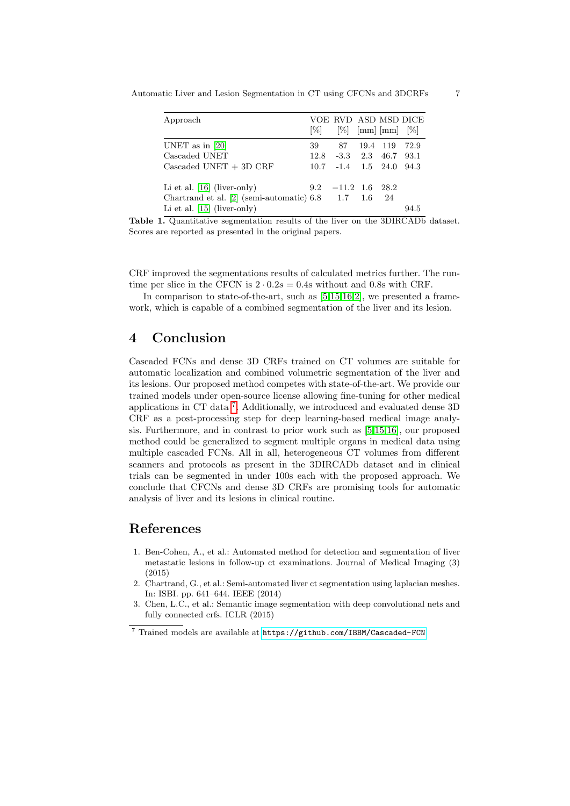Automatic Liver and Lesion Segmentation in CT using CFCNs and 3DCRFs 7

| Approach                                               | $ \% $ |                            | $[\%]$ [mm] [mm] $[\%]$ | VOE RVD ASD MSD DICE |
|--------------------------------------------------------|--------|----------------------------|-------------------------|----------------------|
| UNET as in $[20]$                                      | 39     |                            | 87 19.4 119             | 72.9                 |
| Cascaded UNET                                          |        | $12.8$ $-3.3$ $2.3$ $46.7$ |                         | 93.1                 |
| $\text{Cascaded UNET} + 3D \text{ CRF}$                |        | $10.7 -1.4$ $1.5$ $24.0$   |                         | 94.3                 |
| Li et al. $[16]$ (liver-only)                          |        | $9.2$ $-11.2$ $1.6$ $28.2$ |                         |                      |
| Chartrand et al. $[2]$ (semi-automatic) 6.8 1.7 1.6 24 |        |                            |                         |                      |
| Li et al. $[15]$ (liver-only)                          |        |                            |                         | 94.5                 |

<span id="page-6-3"></span>Table 1. Quantitative segmentation results of the liver on the 3DIRCADb dataset. Scores are reported as presented in the original papers.

CRF improved the segmentations results of calculated metrics further. The runtime per slice in the CFCN is  $2 \cdot 0.2s = 0.4s$  without and 0.8s with CRF.

In comparison to state-of-the-art, such as  $[5,15,16,2]$  $[5,15,16,2]$  $[5,15,16,2]$  $[5,15,16,2]$ , we presented a framework, which is capable of a combined segmentation of the liver and its lesion.

### <span id="page-6-2"></span>4 Conclusion

Cascaded FCNs and dense 3D CRFs trained on CT volumes are suitable for automatic localization and combined volumetric segmentation of the liver and its lesions. Our proposed method competes with state-of-the-art. We provide our trained models under open-source license allowing fine-tuning for other medical applications in CT data [7](#page-6-5) . Additionally, we introduced and evaluated dense 3D CRF as a post-processing step for deep learning-based medical image analysis. Furthermore, and in contrast to prior work such as [\[5,](#page-7-5)[15](#page-7-3)[,16\]](#page-7-2), our proposed method could be generalized to segment multiple organs in medical data using multiple cascaded FCNs. All in all, heterogeneous CT volumes from different scanners and protocols as present in the 3DIRCADb dataset and in clinical trials can be segmented in under 100s each with the proposed approach. We conclude that CFCNs and dense 3D CRFs are promising tools for automatic analysis of liver and its lesions in clinical routine.

### References

- <span id="page-6-0"></span>1. Ben-Cohen, A., et al.: Automated method for detection and segmentation of liver metastatic lesions in follow-up ct examinations. Journal of Medical Imaging (3) (2015)
- <span id="page-6-4"></span>2. Chartrand, G., et al.: Semi-automated liver ct segmentation using laplacian meshes. In: ISBI. pp. 641–644. IEEE (2014)
- <span id="page-6-1"></span>3. Chen, L.C., et al.: Semantic image segmentation with deep convolutional nets and fully connected crfs. ICLR (2015)

<span id="page-6-5"></span> $^7$  Trained models are available at  $\verb|https://github.com/IBBM/Cascaded-FCN|$  $\verb|https://github.com/IBBM/Cascaded-FCN|$  $\verb|https://github.com/IBBM/Cascaded-FCN|$